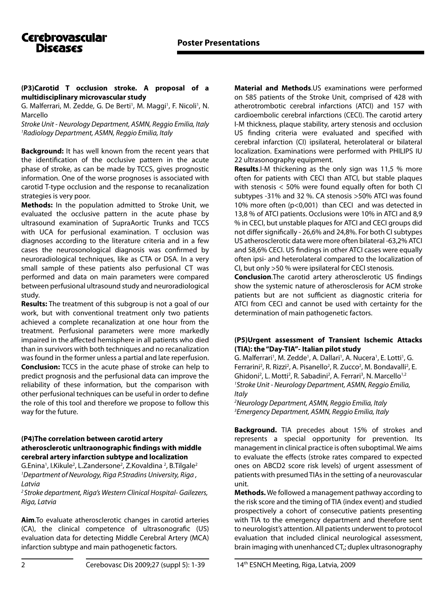**(P3)Carotid T occlusion stroke. A proposal of a multidisciplinary microvascular study**

G. Malferrari, M. Zedde, G. De Berti<sup>1</sup>, M. Maggi<sup>1</sup>, F. Nicoli<sup>1</sup>, N. Marcello

*Stroke Unit - Neurology Department, ASMN, Reggio Emilia, Italy 1 Radiology Department, ASMN, Reggio Emilia, Italy*

**Background:** It has well known from the recent years that the identification of the occlusive pattern in the acute phase of stroke, as can be made by TCCS, gives prognostic information. One of the worse prognoses is associated with carotid T-type occlusion and the response to recanalization strategies is very poor.

**Methods:** In the population admitted to Stroke Unit, we evaluated the occlusive pattern in the acute phase by ultrasound examination of SupraAortic Trunks and TCCS with UCA for perfusional examination. T occlusion was diagnoses according to the literature criteria and in a few cases the neurosonological diagnosis was confirmed by neuroradiological techniques, like as CTA or DSA. In a very small sample of these patients also perfusional CT was performed and data on main parameters were compared between perfusional ultrasound study and neuroradiological study.

**Results:** The treatment of this subgroup is not a goal of our work, but with conventional treatment only two patients achieved a complete recanalization at one hour from the treatment. Perfusional parameters were more markedly impaired in the affected hemisphere in all patients who died than in survivors with both techniques and no recanalization was found in the former unless a partial and late reperfusion. **Conclusion:** TCCS in the acute phase of stroke can help to predict prognosis and the perfusional data can improve the reliability of these information, but the comparison with other perfusional techniques can be useful in order to define the role of this tool and therefore we propose to follow this way for the future.

## **(P4)The correlation between carotid artery atherosclerotic unltraonographic findings with middle cerebral artery infarction subtype and localization**

G.Enina<sup>1</sup>, I.Kikule<sup>2</sup>, L.Zandersone<sup>2</sup>, Z.Kovaldina <sup>2</sup>, B.Tilgale<sup>2</sup> *1 Department of Neurology, Riga P.Stradins University, Riga , Latvia*

*2 Stroke department, Riga's Western Clinical Hospital- Gailezers, Riga, Latvia*

**Aim**.To evaluate atherosclerotic changes in carotid arteries (CA), the clinical competence of ultrasonografic (US) evaluation data for detecting Middle Cerebral Artery (MCA) infarction subtype and main pathogenetic factors.

**Material and Methods**.US examinations were performed on 585 patients of the Stroke Unit, comprised of 428 with atherotrombotic cerebral infarctions (ATCI) and 157 with cardioembolic cerebral infarctions (CECI). The carotid artery I-M thickness, plaque stability, artery stenosis and occlusion US finding criteria were evaluated and specified with cerebral infarction (CI) ipsilateral, heterolateral or bilateral localization. Examinations were performed with PHILIPS IU 22 ultrasonography equipment.

**Results**.I-M thickening as the only sign was 11,5 % more often for patients with CECI than ATCI, but stable plaques with stenosis  $<$  50% were found equally often for both CI subtypes -31% and 32 %. CA stenosis >50% ATCI was found 10% more often (p<0,001) than CECI and was detected in 13,8 % of ATCI patients. Occlusions were 10% in ATCI and 8,9 % in CECI, but unstable plaques for ATCI and CECI groups did not differ significally - 26,6% and 24,8%. For both CI subtypes US atherosclerotic data were more often bilateral -63,2% ATCI and 58,6% CECI. US findings in other ATCI cases were equally often ipsi- and heterolateral compared to the localization of CI, but only >50 % were ipsilateral for CECI stenosis.

**Conclusion**.The carotid artery atherosclerotic US findings show the systemic nature of atherosclerosis for ACM stroke patients but are not sufficient as diagnostic criteria for ATCI from CECI and cannot be used with certainty for the determination of main pathogenetic factors.

## **(P5)Urgent assessment of Transient Ischemic Attacks (TIA): the "Day-TIA"- Italian pilot study**

G. Malferrari<sup>1</sup>, M. Zedde<sup>1</sup>, A. Dallari<sup>1</sup>, A. Nucera<sup>1</sup>, E. Lotti<sup>1</sup>, G. Ferrarini<sup>2</sup>, R. Rizzi<sup>2</sup>, A. Pisanello<sup>2</sup>, R. Zucco<sup>2</sup>, M. Bondavalli<sup>2</sup>, E. Ghidoni<sup>2</sup>, L. Motti<sup>2</sup>, R. Sabadini<sup>2</sup>, A. Ferrari<sup>3</sup>, N. Marcello<sup>1,2</sup> *1 Stroke Unit - Neurology Department, ASMN, Reggio Emilia, Italy*

*2 Neurology Department, ASMN, Reggio Emilia, Italy 3 Emergency Department, ASMN, Reggio Emilia, Italy*

**Background.** TIA precedes about 15% of strokes and represents a special opportunity for prevention. Its management in clinical practice is often suboptimal. We aims to evaluate the effects (stroke rates compared to expected ones on ABCD2 score risk levels) of urgent assessment of patients with presumed TIAs in the setting of a neurovascular unit.

**Methods.** We followed a management pathway according to the risk score and the timing of TIA (index event) and studied prospectively a cohort of consecutive patients presenting with TIA to the emergency department and therefore sent to neurologist's attention. All patients underwent to protocol evaluation that included clinical neurological assessment, brain imaging with unenhanced CT,; duplex ultrasonography